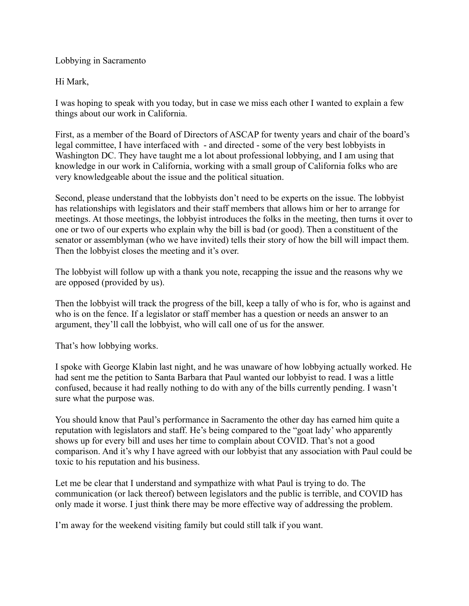Lobbying in Sacramento

Hi Mark,

I was hoping to speak with you today, but in case we miss each other I wanted to explain a few things about our work in California.

First, as a member of the Board of Directors of ASCAP for twenty years and chair of the board's legal committee, I have interfaced with - and directed - some of the very best lobbyists in Washington DC. They have taught me a lot about professional lobbying, and I am using that knowledge in our work in California, working with a small group of California folks who are very knowledgeable about the issue and the political situation.

Second, please understand that the lobbyists don't need to be experts on the issue. The lobbyist has relationships with legislators and their staff members that allows him or her to arrange for meetings. At those meetings, the lobbyist introduces the folks in the meeting, then turns it over to one or two of our experts who explain why the bill is bad (or good). Then a constituent of the senator or assemblyman (who we have invited) tells their story of how the bill will impact them. Then the lobbyist closes the meeting and it's over.

The lobbyist will follow up with a thank you note, recapping the issue and the reasons why we are opposed (provided by us).

Then the lobbyist will track the progress of the bill, keep a tally of who is for, who is against and who is on the fence. If a legislator or staff member has a question or needs an answer to an argument, they'll call the lobbyist, who will call one of us for the answer.

That's how lobbying works.

I spoke with George Klabin last night, and he was unaware of how lobbying actually worked. He had sent me the petition to Santa Barbara that Paul wanted our lobbyist to read. I was a little confused, because it had really nothing to do with any of the bills currently pending. I wasn't sure what the purpose was.

You should know that Paul's performance in Sacramento the other day has earned him quite a reputation with legislators and staff. He's being compared to the "goat lady' who apparently shows up for every bill and uses her time to complain about COVID. That's not a good comparison. And it's why I have agreed with our lobbyist that any association with Paul could be toxic to his reputation and his business.

Let me be clear that I understand and sympathize with what Paul is trying to do. The communication (or lack thereof) between legislators and the public is terrible, and COVID has only made it worse. I just think there may be more effective way of addressing the problem.

I'm away for the weekend visiting family but could still talk if you want.